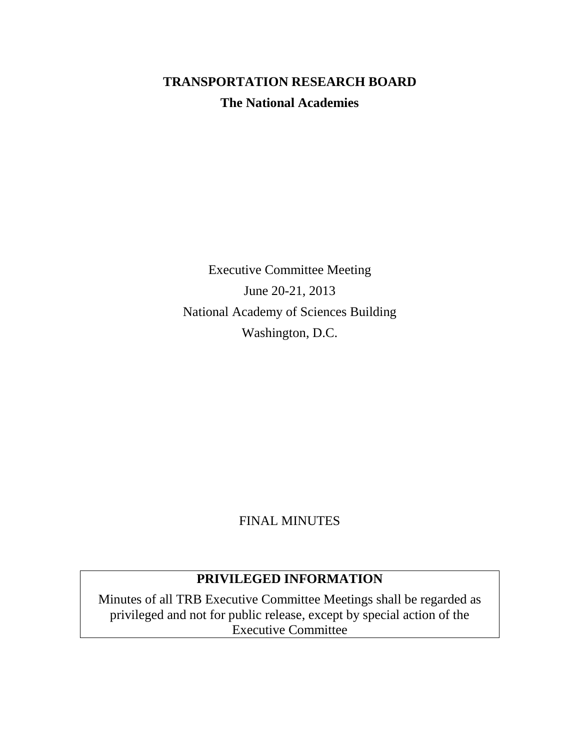# **TRANSPORTATION RESEARCH BOARD The National Academies**

Executive Committee Meeting June 20-21, 2013 National Academy of Sciences Building Washington, D.C.

FINAL MINUTES

## **PRIVILEGED INFORMATION**

Minutes of all TRB Executive Committee Meetings shall be regarded as privileged and not for public release, except by special action of the Executive Committee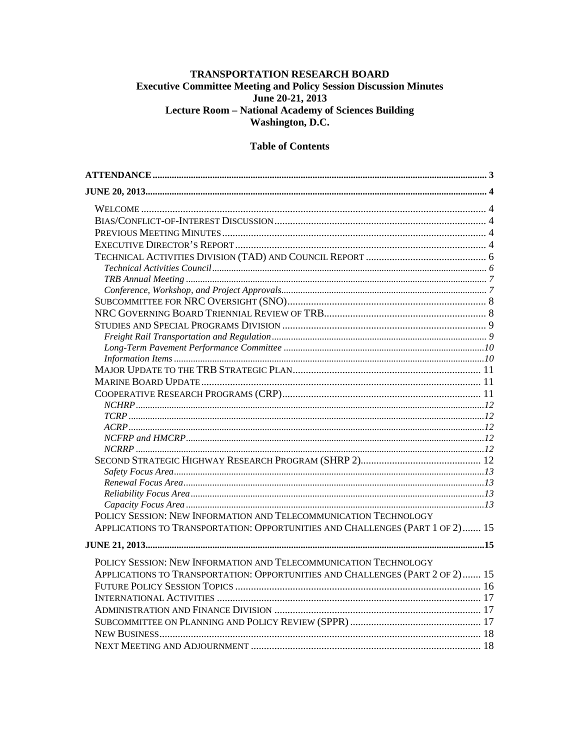#### TRANSPORTATION RESEARCH BOARD **Executive Committee Meeting and Policy Session Discussion Minutes** June 20-21, 2013 Lecture Room - National Academy of Sciences Building Washington, D.C.

#### **Table of Contents**

| POLICY SESSION: NEW INFORMATION AND TELECOMMUNICATION TECHNOLOGY              |  |
|-------------------------------------------------------------------------------|--|
| APPLICATIONS TO TRANSPORTATION: OPPORTUNITIES AND CHALLENGES (PART 1 OF 2) 15 |  |
|                                                                               |  |
|                                                                               |  |
| POLICY SESSION: NEW INFORMATION AND TELECOMMUNICATION TECHNOLOGY              |  |
| APPLICATIONS TO TRANSPORTATION: OPPORTUNITIES AND CHALLENGES (PART 2 OF 2) 15 |  |
|                                                                               |  |
|                                                                               |  |
|                                                                               |  |
|                                                                               |  |
|                                                                               |  |
|                                                                               |  |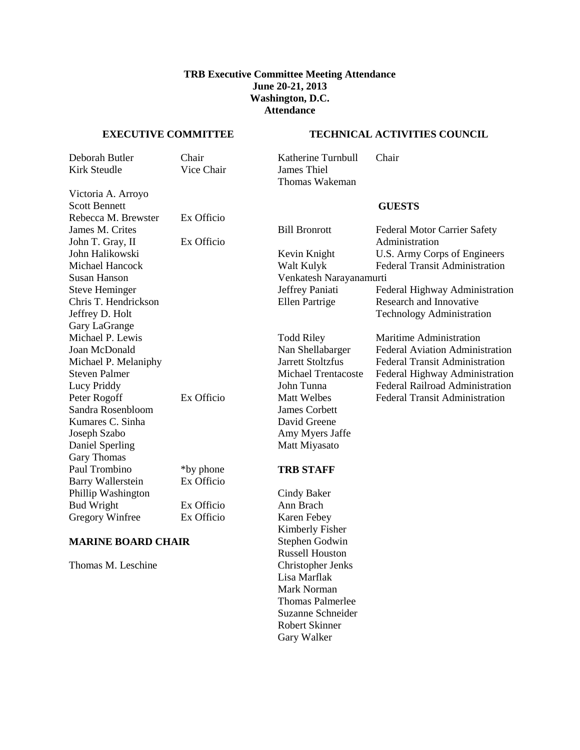#### **TRB Executive Committee Meeting Attendance June 20-21, 2013 Washington, D.C. Attendance**

#### <span id="page-2-0"></span>**EXECUTIVE COMMITTEE TECHNICAL ACTIVITIES COUNCIL**

| Deborah Butler | Chair      | Katherine Turnbull | Chair |
|----------------|------------|--------------------|-------|
| Kirk Steudle   | Vice Chair | James Thiel        |       |
|                |            | Thomas Wakeman     |       |

Victoria A. Arroyo Scott Bennett **GUESTS** Rebecca M. Brewster Ex Officio Susan Hanson Venkatesh Narayanamurti Chris T. Hendrickson Jeffrey D. Holt Gary LaGrange Sandra Rosenbloom James Corbett<br>
Kumares C. Sinha David Greene Kumares C. Sinha Joseph Szabo Amy Myers Jaffe Daniel Sperling Matt Miyasato Gary Thomas Paul Trombino \*by phone **TRB STAFF** Barry Wallerstein Ex Officio Phillip Washington Cindy Baker Bud Wright Ex Officio Ann Brach Gregory Winfree Ex Officio Karen Febey

#### **MARINE BOARD CHAIR** Stephen Godwin

Thomas M. Leschine Christopher Jenks

James M. Crites Bill Bronrott Federal Motor Carrier Safety John T. Gray, II Ex Officio Administration John Halikowski Kevin Knight U.S. Army Corps of Engineers Michael Hancock Walt Kulyk Federal Transit Administration Steve Heminger Jeffrey Paniati Federal Highway Administration Ellen Partrige Research and Innovative Technology Administration Michael P. Lewis Todd Riley Maritime Administration<br>
Joan McDonald Man Shellabarger Federal Aviation Administration Federal Aviation Administration Michael P. Melaniphy Jarrett Stoltzfus Federal Transit Administration Steven Palmer Michael Trentacoste Federal Highway Administration Lucy Priddy John Tunna Federal Railroad Administration Peter Rogoff Ex Officio Matt Welbes Federal Transit Administration

Kimberly Fisher Russell Houston Lisa Marflak Mark Norman Thomas Palmerlee Suzanne Schneider Robert Skinner Gary Walker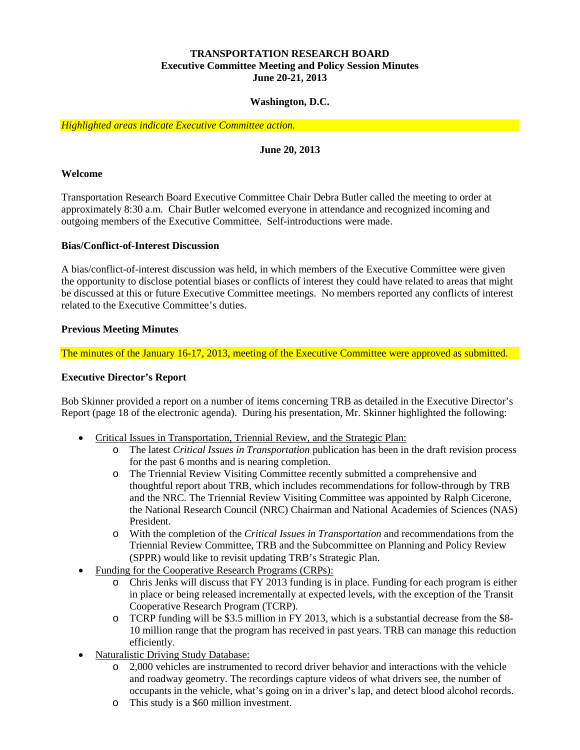#### **TRANSPORTATION RESEARCH BOARD Executive Committee Meeting and Policy Session Minutes June 20-21, 2013**

#### **Washington, D.C.**

<span id="page-3-0"></span>*Highlighted areas indicate Executive Committee action.*

#### **June 20, 2013**

#### <span id="page-3-1"></span>**Welcome**

Transportation Research Board Executive Committee Chair Debra Butler called the meeting to order at approximately 8:30 a.m. Chair Butler welcomed everyone in attendance and recognized incoming and outgoing members of the Executive Committee. Self-introductions were made.

#### <span id="page-3-2"></span>**Bias/Conflict-of-Interest Discussion**

A bias/conflict-of-interest discussion was held, in which members of the Executive Committee were given the opportunity to disclose potential biases or conflicts of interest they could have related to areas that might be discussed at this or future Executive Committee meetings. No members reported any conflicts of interest related to the Executive Committee's duties.

#### <span id="page-3-3"></span>**Previous Meeting Minutes**

The minutes of the January 16-17, 2013, meeting of the Executive Committee were approved as submitted.

#### <span id="page-3-4"></span>**Executive Director's Report**

Bob Skinner provided a report on a number of items concerning TRB as detailed in the Executive Director's Report (page 18 of the electronic agenda). During his presentation, Mr. Skinner highlighted the following:

- Critical Issues in Transportation, Triennial Review, and the Strategic Plan:
	- o The latest *Critical Issues in Transportation* publication has been in the draft revision process for the past 6 months and is nearing completion.
	- o The Triennial Review Visiting Committee recently submitted a comprehensive and thoughtful report about TRB, which includes recommendations for follow-through by TRB and the NRC. The Triennial Review Visiting Committee was appointed by Ralph Cicerone, the National Research Council (NRC) Chairman and National Academies of Sciences (NAS) President.
	- o With the completion of the *Critical Issues in Transportation* and recommendations from the Triennial Review Committee, TRB and the Subcommittee on Planning and Policy Review (SPPR) would like to revisit updating TRB's Strategic Plan.
- Funding for the Cooperative Research Programs (CRPs):
	- o Chris Jenks will discuss that FY 2013 funding is in place. Funding for each program is either in place or being released incrementally at expected levels, with the exception of the Transit Cooperative Research Program (TCRP).
	- o TCRP funding will be \$3.5 million in FY 2013, which is a substantial decrease from the \$8- 10 million range that the program has received in past years. TRB can manage this reduction efficiently.
- Naturalistic Driving Study Database:
	- o 2,000 vehicles are instrumented to record driver behavior and interactions with the vehicle and roadway geometry. The recordings capture videos of what drivers see, the number of occupants in the vehicle, what's going on in a driver's lap, and detect blood alcohol records.
	- o This study is a \$60 million investment.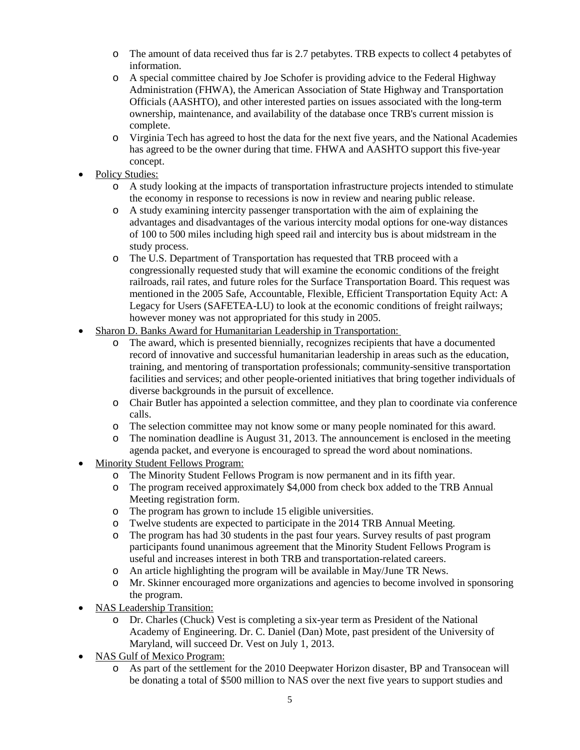- o The amount of data received thus far is 2.7 petabytes. TRB expects to collect 4 petabytes of information.
- o A special committee chaired by Joe Schofer is providing advice to the Federal Highway Administration (FHWA), the American Association of State Highway and Transportation Officials (AASHTO), and other interested parties on issues associated with the long-term ownership, maintenance, and availability of the database once TRB's current mission is complete.
- o Virginia Tech has agreed to host the data for the next five years, and the National Academies has agreed to be the owner during that time. FHWA and AASHTO support this five-year concept.
- Policy Studies:
	- o A study looking at the impacts of transportation infrastructure projects intended to stimulate the economy in response to recessions is now in review and nearing public release.
	- o A study examining intercity passenger transportation with the aim of explaining the advantages and disadvantages of the various intercity modal options for one-way distances of 100 to 500 miles including high speed rail and intercity bus is about midstream in the study process.
	- o The U.S. Department of Transportation has requested that TRB proceed with a congressionally requested study that will examine the economic conditions of the freight railroads, rail rates, and future roles for the Surface Transportation Board. This request was mentioned in the 2005 Safe, Accountable, Flexible, Efficient Transportation Equity Act: A Legacy for Users (SAFETEA-LU) to look at the economic conditions of freight railways; however money was not appropriated for this study in 2005.
- Sharon D. Banks Award for Humanitarian Leadership in Transportation:
	- o The award, which is presented biennially, recognizes recipients that have a documented record of innovative and successful humanitarian leadership in areas such as the education, training, and mentoring of transportation professionals; community-sensitive transportation facilities and services; and other people-oriented initiatives that bring together individuals of diverse backgrounds in the pursuit of excellence.
	- o Chair Butler has appointed a selection committee, and they plan to coordinate via conference calls.
	- o The selection committee may not know some or many people nominated for this award.
	- o The nomination deadline is August 31, 2013. The announcement is enclosed in the meeting agenda packet, and everyone is encouraged to spread the word about nominations.
- Minority Student Fellows Program:
	- o The Minority Student Fellows Program is now permanent and in its fifth year.
	- o The program received approximately \$4,000 from check box added to the TRB Annual Meeting registration form.
	- o The program has grown to include 15 eligible universities.
	- o Twelve students are expected to participate in the 2014 TRB Annual Meeting.
	- The program has had 30 students in the past four years. Survey results of past program participants found unanimous agreement that the Minority Student Fellows Program is useful and increases interest in both TRB and transportation-related careers.
	- o An article highlighting the program will be available in May/June TR News.
	- o Mr. Skinner encouraged more organizations and agencies to become involved in sponsoring the program.
- NAS Leadership Transition:
	- o Dr. Charles (Chuck) Vest is completing a six-year term as President of the National Academy of Engineering. Dr. C. Daniel (Dan) Mote, past president of the University of Maryland, will succeed Dr. Vest on July 1, 2013.
- NAS Gulf of Mexico Program:
	- o As part of the settlement for the 2010 Deepwater Horizon disaster, BP and Transocean will be donating a total of \$500 million to NAS over the next five years to support studies and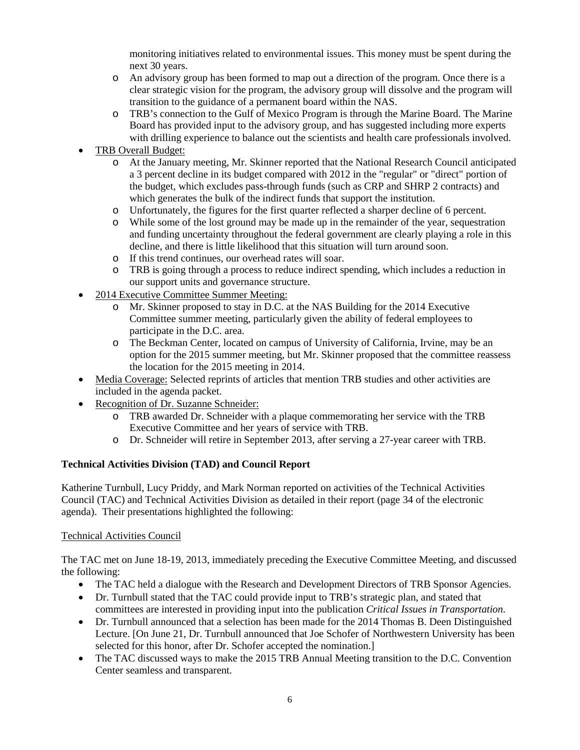monitoring initiatives related to environmental issues. This money must be spent during the next 30 years.

- o An advisory group has been formed to map out a direction of the program. Once there is a clear strategic vision for the program, the advisory group will dissolve and the program will transition to the guidance of a permanent board within the NAS.
- o TRB's connection to the Gulf of Mexico Program is through the Marine Board. The Marine Board has provided input to the advisory group, and has suggested including more experts with drilling experience to balance out the scientists and health care professionals involved.
- TRB Overall Budget:
	- o At the January meeting, Mr. Skinner reported that the National Research Council anticipated a 3 percent decline in its budget compared with 2012 in the "regular" or "direct" portion of the budget, which excludes pass-through funds (such as CRP and SHRP 2 contracts) and which generates the bulk of the indirect funds that support the institution.
	- o Unfortunately, the figures for the first quarter reflected a sharper decline of 6 percent.
	- o While some of the lost ground may be made up in the remainder of the year, sequestration and funding uncertainty throughout the federal government are clearly playing a role in this decline, and there is little likelihood that this situation will turn around soon.
	- o If this trend continues, our overhead rates will soar.
	- o TRB is going through a process to reduce indirect spending, which includes a reduction in our support units and governance structure.
- 2014 Executive Committee Summer Meeting:
	- o Mr. Skinner proposed to stay in D.C. at the NAS Building for the 2014 Executive Committee summer meeting, particularly given the ability of federal employees to participate in the D.C. area.
	- o The Beckman Center, located on campus of University of California, Irvine, may be an option for the 2015 summer meeting, but Mr. Skinner proposed that the committee reassess the location for the 2015 meeting in 2014.
- Media Coverage: Selected reprints of articles that mention TRB studies and other activities are included in the agenda packet.
- Recognition of Dr. Suzanne Schneider:
	- o TRB awarded Dr. Schneider with a plaque commemorating her service with the TRB Executive Committee and her years of service with TRB.
	- o Dr. Schneider will retire in September 2013, after serving a 27-year career with TRB.

#### <span id="page-5-0"></span>**Technical Activities Division (TAD) and Council Report**

Katherine Turnbull, Lucy Priddy, and Mark Norman reported on activities of the Technical Activities Council (TAC) and Technical Activities Division as detailed in their report (page 34 of the electronic agenda). Their presentations highlighted the following:

#### <span id="page-5-1"></span>Technical Activities Council

The TAC met on June 18-19, 2013, immediately preceding the Executive Committee Meeting, and discussed the following:

- The TAC held a dialogue with the Research and Development Directors of TRB Sponsor Agencies.
- Dr. Turnbull stated that the TAC could provide input to TRB's strategic plan, and stated that committees are interested in providing input into the publication *Critical Issues in Transportation*.
- Dr. Turnbull announced that a selection has been made for the 2014 Thomas B. Deen Distinguished Lecture. [On June 21, Dr. Turnbull announced that Joe Schofer of Northwestern University has been selected for this honor, after Dr. Schofer accepted the nomination.]
- The TAC discussed ways to make the 2015 TRB Annual Meeting transition to the D.C. Convention Center seamless and transparent.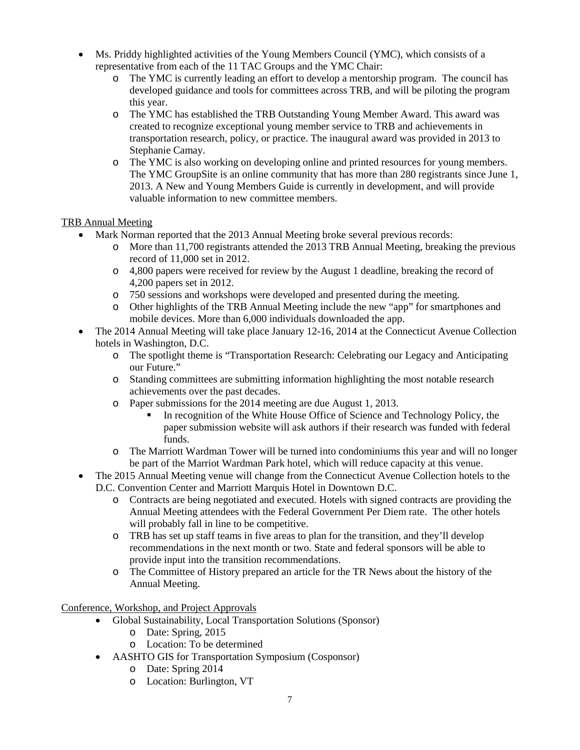- Ms. Priddy highlighted activities of the Young Members Council (YMC), which consists of a representative from each of the 11 TAC Groups and the YMC Chair:
	- o The YMC is currently leading an effort to develop a mentorship program. The council has developed guidance and tools for committees across TRB, and will be piloting the program this year.
	- o The YMC has established the TRB Outstanding Young Member Award. This award was created to recognize exceptional young member service to TRB and achievements in transportation research, policy, or practice. The inaugural award was provided in 2013 to Stephanie Camay.
	- o The YMC is also working on developing online and printed resources for young members. The YMC GroupSite is an online community that has more than 280 registrants since June 1, 2013. A New and Young Members Guide is currently in development, and will provide valuable information to new committee members.

#### <span id="page-6-0"></span>TRB Annual Meeting

- Mark Norman reported that the 2013 Annual Meeting broke several previous records:
	- More than 11,700 registrants attended the 2013 TRB Annual Meeting, breaking the previous record of 11,000 set in 2012.
	- o 4,800 papers were received for review by the August 1 deadline, breaking the record of 4,200 papers set in 2012.
	- o 750 sessions and workshops were developed and presented during the meeting.
	- o Other highlights of the TRB Annual Meeting include the new "app" for smartphones and mobile devices. More than 6,000 individuals downloaded the app.
- The 2014 Annual Meeting will take place January 12-16, 2014 at the Connecticut Avenue Collection hotels in Washington, D.C.
	- o The spotlight theme is "Transportation Research: Celebrating our Legacy and Anticipating our Future."
	- o Standing committees are submitting information highlighting the most notable research achievements over the past decades.
	- o Paper submissions for the 2014 meeting are due August 1, 2013.
		- In recognition of the White House Office of Science and Technology Policy, the paper submission website will ask authors if their research was funded with federal funds.
	- o The Marriott Wardman Tower will be turned into condominiums this year and will no longer be part of the Marriot Wardman Park hotel, which will reduce capacity at this venue.
- The 2015 Annual Meeting venue will change from the Connecticut Avenue Collection hotels to the D.C. Convention Center and Marriott Marquis Hotel in Downtown D.C.
	- o Contracts are being negotiated and executed. Hotels with signed contracts are providing the Annual Meeting attendees with the Federal Government Per Diem rate. The other hotels will probably fall in line to be competitive.
	- o TRB has set up staff teams in five areas to plan for the transition, and they'll develop recommendations in the next month or two. State and federal sponsors will be able to provide input into the transition recommendations.
	- o The Committee of History prepared an article for the TR News about the history of the Annual Meeting.

<span id="page-6-1"></span>Conference, Workshop, and Project Approvals

- Global Sustainability, Local Transportation Solutions (Sponsor)
	- o Date: Spring, 2015
	- o Location: To be determined
- AASHTO GIS for Transportation Symposium (Cosponsor)
	- o Date: Spring 2014
	- o Location: Burlington, VT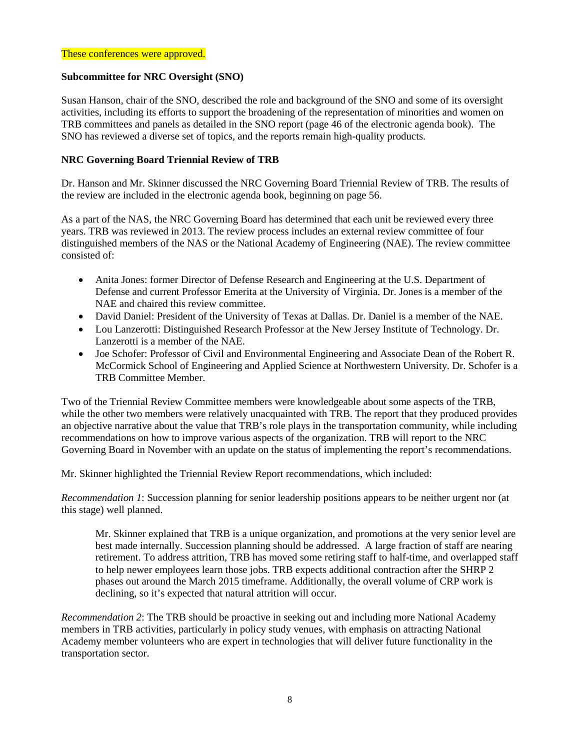#### These conferences were approved.

#### <span id="page-7-0"></span>**Subcommittee for NRC Oversight (SNO)**

Susan Hanson, chair of the SNO, described the role and background of the SNO and some of its oversight activities, including its efforts to support the broadening of the representation of minorities and women on TRB committees and panels as detailed in the SNO report (page 46 of the electronic agenda book). The SNO has reviewed a diverse set of topics, and the reports remain high-quality products.

#### <span id="page-7-1"></span>**NRC Governing Board Triennial Review of TRB**

Dr. Hanson and Mr. Skinner discussed the NRC Governing Board Triennial Review of TRB. The results of the review are included in the electronic agenda book, beginning on page 56.

As a part of the NAS, the NRC Governing Board has determined that each unit be reviewed every three years. TRB was reviewed in 2013. The review process includes an external review committee of four distinguished members of the NAS or the National Academy of Engineering (NAE). The review committee consisted of:

- Anita Jones: former Director of Defense Research and Engineering at the U.S. Department of Defense and current Professor Emerita at the University of Virginia. Dr. Jones is a member of the NAE and chaired this review committee.
- David Daniel: President of the University of Texas at Dallas. Dr. Daniel is a member of the NAE.
- Lou Lanzerotti: Distinguished Research Professor at the New Jersey Institute of Technology. Dr. Lanzerotti is a member of the NAE.
- Joe Schofer: Professor of Civil and Environmental Engineering and Associate Dean of the Robert R. McCormick School of Engineering and Applied Science at Northwestern University. Dr. Schofer is a TRB Committee Member.

Two of the Triennial Review Committee members were knowledgeable about some aspects of the TRB, while the other two members were relatively unacquainted with TRB. The report that they produced provides an objective narrative about the value that TRB's role plays in the transportation community, while including recommendations on how to improve various aspects of the organization. TRB will report to the NRC Governing Board in November with an update on the status of implementing the report's recommendations.

Mr. Skinner highlighted the Triennial Review Report recommendations, which included:

*Recommendation 1*: Succession planning for senior leadership positions appears to be neither urgent nor (at this stage) well planned.

Mr. Skinner explained that TRB is a unique organization, and promotions at the very senior level are best made internally. Succession planning should be addressed. A large fraction of staff are nearing retirement. To address attrition, TRB has moved some retiring staff to half-time, and overlapped staff to help newer employees learn those jobs. TRB expects additional contraction after the SHRP 2 phases out around the March 2015 timeframe. Additionally, the overall volume of CRP work is declining, so it's expected that natural attrition will occur.

*Recommendation 2*: The TRB should be proactive in seeking out and including more National Academy members in TRB activities, particularly in policy study venues, with emphasis on attracting National Academy member volunteers who are expert in technologies that will deliver future functionality in the transportation sector.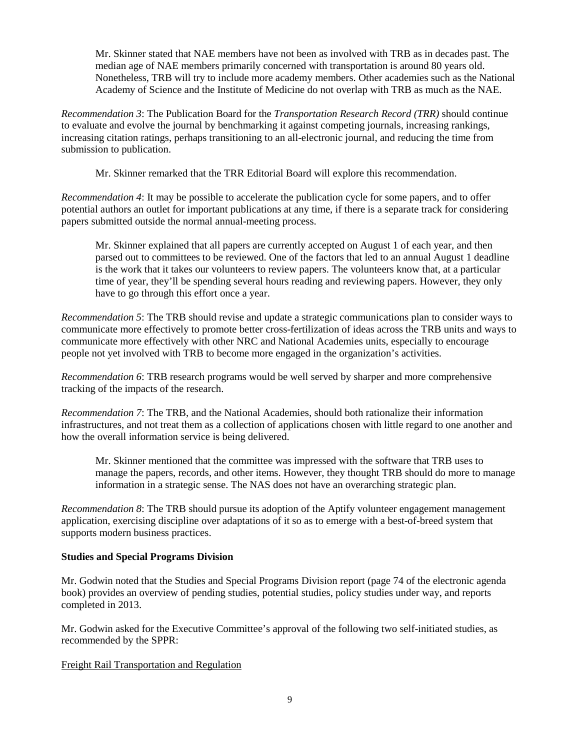Mr. Skinner stated that NAE members have not been as involved with TRB as in decades past. The median age of NAE members primarily concerned with transportation is around 80 years old. Nonetheless, TRB will try to include more academy members. Other academies such as the National Academy of Science and the Institute of Medicine do not overlap with TRB as much as the NAE.

*Recommendation 3*: The Publication Board for the *Transportation Research Record (TRR)* should continue to evaluate and evolve the journal by benchmarking it against competing journals, increasing rankings, increasing citation ratings, perhaps transitioning to an all-electronic journal, and reducing the time from submission to publication.

Mr. Skinner remarked that the TRR Editorial Board will explore this recommendation.

*Recommendation 4*: It may be possible to accelerate the publication cycle for some papers, and to offer potential authors an outlet for important publications at any time, if there is a separate track for considering papers submitted outside the normal annual-meeting process.

Mr. Skinner explained that all papers are currently accepted on August 1 of each year, and then parsed out to committees to be reviewed. One of the factors that led to an annual August 1 deadline is the work that it takes our volunteers to review papers. The volunteers know that, at a particular time of year, they'll be spending several hours reading and reviewing papers. However, they only have to go through this effort once a year.

*Recommendation 5*: The TRB should revise and update a strategic communications plan to consider ways to communicate more effectively to promote better cross-fertilization of ideas across the TRB units and ways to communicate more effectively with other NRC and National Academies units, especially to encourage people not yet involved with TRB to become more engaged in the organization's activities.

*Recommendation 6*: TRB research programs would be well served by sharper and more comprehensive tracking of the impacts of the research.

*Recommendation 7*: The TRB, and the National Academies, should both rationalize their information infrastructures, and not treat them as a collection of applications chosen with little regard to one another and how the overall information service is being delivered.

Mr. Skinner mentioned that the committee was impressed with the software that TRB uses to manage the papers, records, and other items. However, they thought TRB should do more to manage information in a strategic sense. The NAS does not have an overarching strategic plan.

*Recommendation 8*: The TRB should pursue its adoption of the Aptify volunteer engagement management application, exercising discipline over adaptations of it so as to emerge with a best-of-breed system that supports modern business practices.

#### <span id="page-8-0"></span>**Studies and Special Programs Division**

Mr. Godwin noted that the Studies and Special Programs Division report (page 74 of the electronic agenda book) provides an overview of pending studies, potential studies, policy studies under way, and reports completed in 2013.

Mr. Godwin asked for the Executive Committee's approval of the following two self-initiated studies, as recommended by the SPPR:

#### <span id="page-8-1"></span>Freight Rail Transportation and Regulation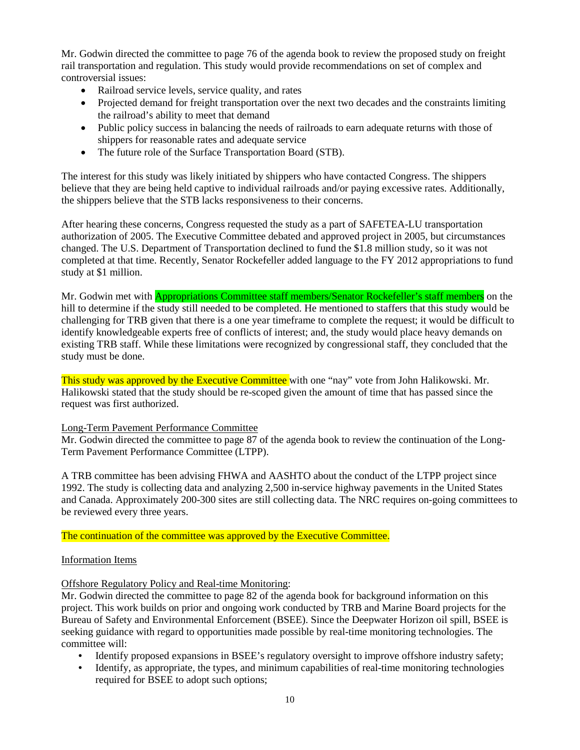Mr. Godwin directed the committee to page 76 of the agenda book to review the proposed study on freight rail transportation and regulation. This study would provide recommendations on set of complex and controversial issues:

- Railroad service levels, service quality, and rates
- Projected demand for freight transportation over the next two decades and the constraints limiting the railroad's ability to meet that demand
- Public policy success in balancing the needs of railroads to earn adequate returns with those of shippers for reasonable rates and adequate service
- The future role of the Surface Transportation Board (STB).

The interest for this study was likely initiated by shippers who have contacted Congress. The shippers believe that they are being held captive to individual railroads and/or paying excessive rates. Additionally, the shippers believe that the STB lacks responsiveness to their concerns.

After hearing these concerns, Congress requested the study as a part of SAFETEA-LU transportation authorization of 2005. The Executive Committee debated and approved project in 2005, but circumstances changed. The U.S. Department of Transportation declined to fund the \$1.8 million study, so it was not completed at that time. Recently, Senator Rockefeller added language to the FY 2012 appropriations to fund study at \$1 million.

Mr. Godwin met with **Appropriations Committee staff members/Senator Rockefeller's staff members** on the hill to determine if the study still needed to be completed. He mentioned to staffers that this study would be challenging for TRB given that there is a one year timeframe to complete the request; it would be difficult to identify knowledgeable experts free of conflicts of interest; and, the study would place heavy demands on existing TRB staff. While these limitations were recognized by congressional staff, they concluded that the study must be done.

This study was approved by the Executive Committee with one "nay" vote from John Halikowski. Mr. Halikowski stated that the study should be re-scoped given the amount of time that has passed since the request was first authorized.

#### <span id="page-9-0"></span>Long-Term Pavement Performance Committee

Mr. Godwin directed the committee to page 87 of the agenda book to review the continuation of the Long-Term Pavement Performance Committee (LTPP).

A TRB committee has been advising FHWA and AASHTO about the conduct of the LTPP project since 1992. The study is collecting data and analyzing 2,500 in-service highway pavements in the United States and Canada. Approximately 200-300 sites are still collecting data. The NRC requires on-going committees to be reviewed every three years.

#### The continuation of the committee was approved by the Executive Committee.

#### <span id="page-9-1"></span>Information Items

#### Offshore Regulatory Policy and Real-time Monitoring:

Mr. Godwin directed the committee to page 82 of the agenda book for background information on this project. This work builds on prior and ongoing work conducted by TRB and Marine Board projects for the Bureau of Safety and Environmental Enforcement (BSEE). Since the Deepwater Horizon oil spill, BSEE is seeking guidance with regard to opportunities made possible by real-time monitoring technologies. The committee will:

- Identify proposed expansions in BSEE's regulatory oversight to improve offshore industry safety;
- Identify, as appropriate, the types, and minimum capabilities of real-time monitoring technologies required for BSEE to adopt such options;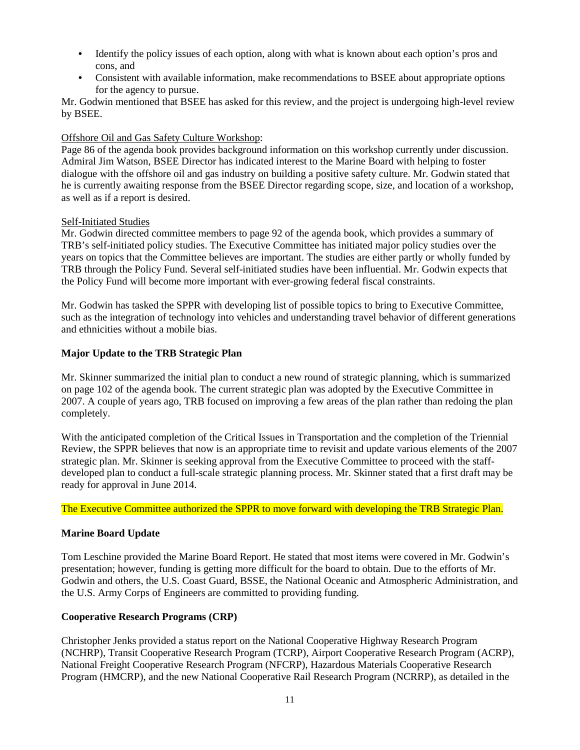- Identify the policy issues of each option, along with what is known about each option's pros and cons, and
- Consistent with available information, make recommendations to BSEE about appropriate options for the agency to pursue.

Mr. Godwin mentioned that BSEE has asked for this review, and the project is undergoing high-level review by BSEE.

#### Offshore Oil and Gas Safety Culture Workshop:

Page 86 of the agenda book provides background information on this workshop currently under discussion. Admiral Jim Watson, BSEE Director has indicated interest to the Marine Board with helping to foster dialogue with the offshore oil and gas industry on building a positive safety culture. Mr. Godwin stated that he is currently awaiting response from the BSEE Director regarding scope, size, and location of a workshop, as well as if a report is desired.

#### Self-Initiated Studies

Mr. Godwin directed committee members to page 92 of the agenda book, which provides a summary of TRB's self-initiated policy studies. The Executive Committee has initiated major policy studies over the years on topics that the Committee believes are important. The studies are either partly or wholly funded by TRB through the Policy Fund. Several self-initiated studies have been influential. Mr. Godwin expects that the Policy Fund will become more important with ever-growing federal fiscal constraints.

Mr. Godwin has tasked the SPPR with developing list of possible topics to bring to Executive Committee, such as the integration of technology into vehicles and understanding travel behavior of different generations and ethnicities without a mobile bias.

#### <span id="page-10-0"></span>**Major Update to the TRB Strategic Plan**

Mr. Skinner summarized the initial plan to conduct a new round of strategic planning, which is summarized on page 102 of the agenda book. The current strategic plan was adopted by the Executive Committee in 2007. A couple of years ago, TRB focused on improving a few areas of the plan rather than redoing the plan completely.

With the anticipated completion of the Critical Issues in Transportation and the completion of the Triennial Review, the SPPR believes that now is an appropriate time to revisit and update various elements of the 2007 strategic plan. Mr. Skinner is seeking approval from the Executive Committee to proceed with the staffdeveloped plan to conduct a full-scale strategic planning process. Mr. Skinner stated that a first draft may be ready for approval in June 2014.

The Executive Committee authorized the SPPR to move forward with developing the TRB Strategic Plan.

#### <span id="page-10-1"></span>**Marine Board Update**

Tom Leschine provided the Marine Board Report. He stated that most items were covered in Mr. Godwin's presentation; however, funding is getting more difficult for the board to obtain. Due to the efforts of Mr. Godwin and others, the U.S. Coast Guard, BSSE, the National Oceanic and Atmospheric Administration, and the U.S. Army Corps of Engineers are committed to providing funding.

#### <span id="page-10-2"></span>**Cooperative Research Programs (CRP)**

Christopher Jenks provided a status report on the National Cooperative Highway Research Program (NCHRP), Transit Cooperative Research Program (TCRP), Airport Cooperative Research Program (ACRP), National Freight Cooperative Research Program (NFCRP), Hazardous Materials Cooperative Research Program (HMCRP), and the new National Cooperative Rail Research Program (NCRRP), as detailed in the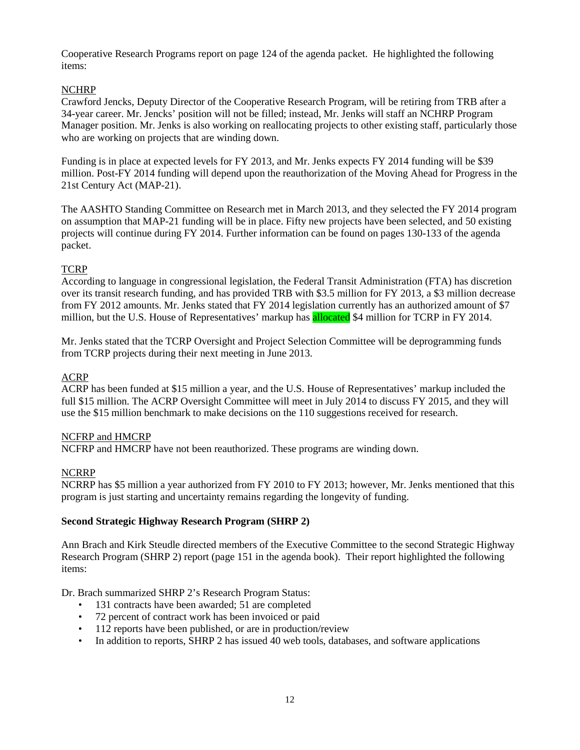Cooperative Research Programs report on page 124 of the agenda packet. He highlighted the following items:

#### <span id="page-11-0"></span>NCHRP

Crawford Jencks, Deputy Director of the Cooperative Research Program, will be retiring from TRB after a 34-year career. Mr. Jencks' position will not be filled; instead, Mr. Jenks will staff an NCHRP Program Manager position. Mr. Jenks is also working on reallocating projects to other existing staff, particularly those who are working on projects that are winding down.

Funding is in place at expected levels for FY 2013, and Mr. Jenks expects FY 2014 funding will be \$39 million. Post-FY 2014 funding will depend upon the reauthorization of the Moving Ahead for Progress in the 21st Century Act (MAP-21).

The AASHTO Standing Committee on Research met in March 2013, and they selected the FY 2014 program on assumption that MAP-21 funding will be in place. Fifty new projects have been selected, and 50 existing projects will continue during FY 2014. Further information can be found on pages 130-133 of the agenda packet.

#### <span id="page-11-1"></span>**TCRP**

According to language in congressional legislation, the Federal Transit Administration (FTA) has discretion over its transit research funding, and has provided TRB with \$3.5 million for FY 2013, a \$3 million decrease from FY 2012 amounts. Mr. Jenks stated that FY 2014 legislation currently has an authorized amount of \$7 million, but the U.S. House of Representatives' markup has allocated \$4 million for TCRP in FY 2014.

Mr. Jenks stated that the TCRP Oversight and Project Selection Committee will be deprogramming funds from TCRP projects during their next meeting in June 2013.

#### <span id="page-11-2"></span>ACRP

ACRP has been funded at \$15 million a year, and the U.S. House of Representatives' markup included the full \$15 million. The ACRP Oversight Committee will meet in July 2014 to discuss FY 2015, and they will use the \$15 million benchmark to make decisions on the 110 suggestions received for research.

#### <span id="page-11-3"></span>NCFRP and HMCRP

NCFRP and HMCRP have not been reauthorized. These programs are winding down.

#### <span id="page-11-4"></span>NCRRP

NCRRP has \$5 million a year authorized from FY 2010 to FY 2013; however, Mr. Jenks mentioned that this program is just starting and uncertainty remains regarding the longevity of funding.

#### <span id="page-11-5"></span>**Second Strategic Highway Research Program (SHRP 2)**

Ann Brach and Kirk Steudle directed members of the Executive Committee to the second Strategic Highway Research Program (SHRP 2) report (page 151 in the agenda book). Their report highlighted the following items:

Dr. Brach summarized SHRP 2's Research Program Status:

- 131 contracts have been awarded; 51 are completed
- 72 percent of contract work has been invoiced or paid
- 112 reports have been published, or are in production/review
- In addition to reports, SHRP 2 has issued 40 web tools, databases, and software applications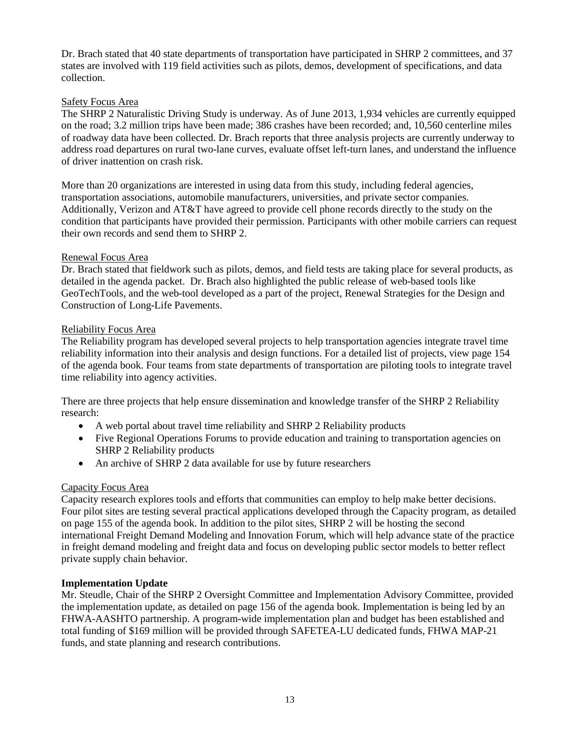Dr. Brach stated that 40 state departments of transportation have participated in SHRP 2 committees, and 37 states are involved with 119 field activities such as pilots, demos, development of specifications, and data collection.

#### <span id="page-12-0"></span>Safety Focus Area

The SHRP 2 Naturalistic Driving Study is underway. As of June 2013, 1,934 vehicles are currently equipped on the road; 3.2 million trips have been made; 386 crashes have been recorded; and, 10,560 centerline miles of roadway data have been collected. Dr. Brach reports that three analysis projects are currently underway to address road departures on rural two-lane curves, evaluate offset left-turn lanes, and understand the influence of driver inattention on crash risk.

More than 20 organizations are interested in using data from this study, including federal agencies, transportation associations, automobile manufacturers, universities, and private sector companies. Additionally, Verizon and AT&T have agreed to provide cell phone records directly to the study on the condition that participants have provided their permission. Participants with other mobile carriers can request their own records and send them to SHRP 2.

#### <span id="page-12-1"></span>Renewal Focus Area

Dr. Brach stated that fieldwork such as pilots, demos, and field tests are taking place for several products, as detailed in the agenda packet. Dr. Brach also highlighted the public release of web-based tools like GeoTechTools, and the web-tool developed as a part of the project, Renewal Strategies for the Design and Construction of Long-Life Pavements.

#### <span id="page-12-2"></span>Reliability Focus Area

The Reliability program has developed several projects to help transportation agencies integrate travel time reliability information into their analysis and design functions. For a detailed list of projects, view page 154 of the agenda book. Four teams from state departments of transportation are piloting tools to integrate travel time reliability into agency activities.

There are three projects that help ensure dissemination and knowledge transfer of the SHRP 2 Reliability research:

- A web portal about travel time reliability and SHRP 2 Reliability products
- Five Regional Operations Forums to provide education and training to transportation agencies on SHRP 2 Reliability products
- An archive of SHRP 2 data available for use by future researchers

#### <span id="page-12-3"></span>Capacity Focus Area

Capacity research explores tools and efforts that communities can employ to help make better decisions. Four pilot sites are testing several practical applications developed through the Capacity program, as detailed on page 155 of the agenda book. In addition to the pilot sites, SHRP 2 will be hosting the second international Freight Demand Modeling and Innovation Forum, which will help advance state of the practice in freight demand modeling and freight data and focus on developing public sector models to better reflect private supply chain behavior.

#### **Implementation Update**

Mr. Steudle, Chair of the SHRP 2 Oversight Committee and Implementation Advisory Committee, provided the implementation update, as detailed on page 156 of the agenda book. Implementation is being led by an FHWA-AASHTO partnership. A program-wide implementation plan and budget has been established and total funding of \$169 million will be provided through SAFETEA-LU dedicated funds, FHWA MAP-21 funds, and state planning and research contributions.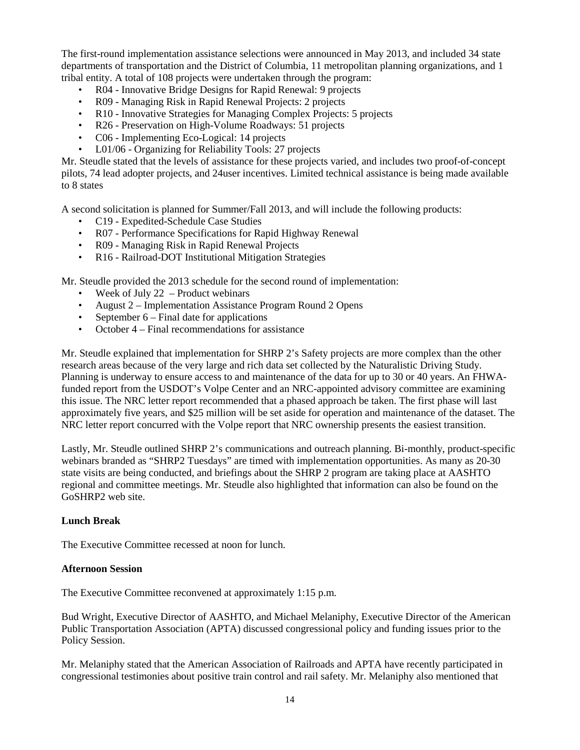The first-round implementation assistance selections were announced in May 2013, and included 34 state departments of transportation and the District of Columbia, 11 metropolitan planning organizations, and 1 tribal entity. A total of 108 projects were undertaken through the program:

- R04 Innovative Bridge Designs for Rapid Renewal: 9 projects
- R09 Managing Risk in Rapid Renewal Projects: 2 projects
- R10 Innovative Strategies for Managing Complex Projects: 5 projects
- R26 Preservation on High-Volume Roadways: 51 projects
- C06 Implementing Eco-Logical: 14 projects
- L01/06 Organizing for Reliability Tools: 27 projects

Mr. Steudle stated that the levels of assistance for these projects varied, and includes two proof-of-concept pilots, 74 lead adopter projects, and 24user incentives. Limited technical assistance is being made available to 8 states

A second solicitation is planned for Summer/Fall 2013, and will include the following products:

- C19 Expedited-Schedule Case Studies
- R07 Performance Specifications for Rapid Highway Renewal
- R09 Managing Risk in Rapid Renewal Projects
- R16 Railroad-DOT Institutional Mitigation Strategies

Mr. Steudle provided the 2013 schedule for the second round of implementation:

- Week of July  $22$  Product webinars
- August 2 Implementation Assistance Program Round 2 Opens
- September 6 Final date for applications
- October 4 Final recommendations for assistance

Mr. Steudle explained that implementation for SHRP 2's Safety projects are more complex than the other research areas because of the very large and rich data set collected by the Naturalistic Driving Study. Planning is underway to ensure access to and maintenance of the data for up to 30 or 40 years. An FHWAfunded report from the USDOT's Volpe Center and an NRC-appointed advisory committee are examining this issue. The NRC letter report recommended that a phased approach be taken. The first phase will last approximately five years, and \$25 million will be set aside for operation and maintenance of the dataset. The NRC letter report concurred with the Volpe report that NRC ownership presents the easiest transition.

Lastly, Mr. Steudle outlined SHRP 2's communications and outreach planning. Bi-monthly, product-specific webinars branded as "SHRP2 Tuesdays" are timed with implementation opportunities. As many as 20-30 state visits are being conducted, and briefings about the SHRP 2 program are taking place at AASHTO regional and committee meetings. Mr. Steudle also highlighted that information can also be found on the GoSHRP2 web site.

#### **Lunch Break**

The Executive Committee recessed at noon for lunch.

#### **Afternoon Session**

The Executive Committee reconvened at approximately 1:15 p.m.

Bud Wright, Executive Director of AASHTO, and Michael Melaniphy, Executive Director of the American Public Transportation Association (APTA) discussed congressional policy and funding issues prior to the Policy Session.

Mr. Melaniphy stated that the American Association of Railroads and APTA have recently participated in congressional testimonies about positive train control and rail safety. Mr. Melaniphy also mentioned that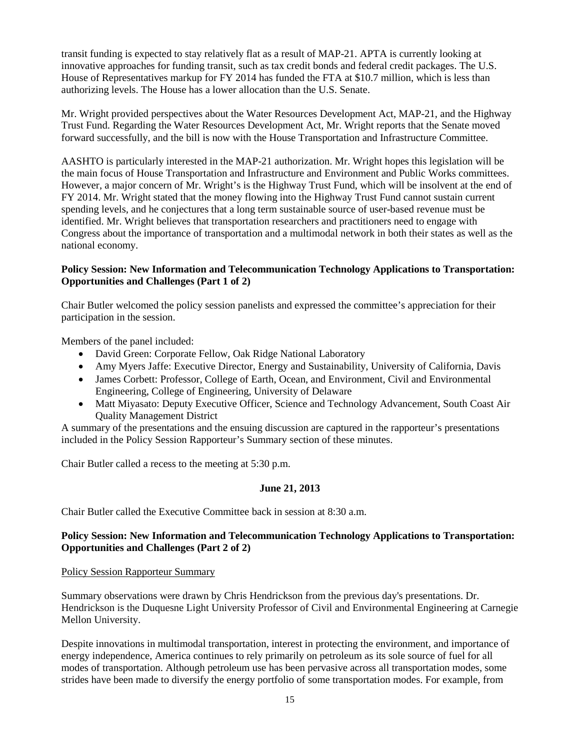transit funding is expected to stay relatively flat as a result of MAP-21. APTA is currently looking at innovative approaches for funding transit, such as tax credit bonds and federal credit packages. The U.S. House of Representatives markup for FY 2014 has funded the FTA at \$10.7 million, which is less than authorizing levels. The House has a lower allocation than the U.S. Senate.

Mr. Wright provided perspectives about the Water Resources Development Act, MAP-21, and the Highway Trust Fund. Regarding the Water Resources Development Act, Mr. Wright reports that the Senate moved forward successfully, and the bill is now with the House Transportation and Infrastructure Committee.

AASHTO is particularly interested in the MAP-21 authorization. Mr. Wright hopes this legislation will be the main focus of House Transportation and Infrastructure and Environment and Public Works committees. However, a major concern of Mr. Wright's is the Highway Trust Fund, which will be insolvent at the end of FY 2014. Mr. Wright stated that the money flowing into the Highway Trust Fund cannot sustain current spending levels, and he conjectures that a long term sustainable source of user-based revenue must be identified. Mr. Wright believes that transportation researchers and practitioners need to engage with Congress about the importance of transportation and a multimodal network in both their states as well as the national economy.

#### <span id="page-14-0"></span>**Policy Session: New Information and Telecommunication Technology Applications to Transportation: Opportunities and Challenges (Part 1 of 2)**

Chair Butler welcomed the policy session panelists and expressed the committee's appreciation for their participation in the session.

Members of the panel included:

- David Green: Corporate Fellow, Oak Ridge National Laboratory
- Amy Myers Jaffe: Executive Director, Energy and Sustainability, University of California, Davis
- James Corbett: Professor, College of Earth, Ocean, and Environment, Civil and Environmental Engineering, College of Engineering, University of Delaware
- Matt Miyasato: Deputy Executive Officer, Science and Technology Advancement, South Coast Air Quality Management District

A summary of the presentations and the ensuing discussion are captured in the rapporteur's presentations included in the Policy Session Rapporteur's Summary section of these minutes.

<span id="page-14-1"></span>Chair Butler called a recess to the meeting at 5:30 p.m.

#### **June 21, 2013**

Chair Butler called the Executive Committee back in session at 8:30 a.m.

#### <span id="page-14-2"></span>**Policy Session: New Information and Telecommunication Technology Applications to Transportation: Opportunities and Challenges (Part 2 of 2)**

#### Policy Session Rapporteur Summary

Summary observations were drawn by Chris Hendrickson from the previous day's presentations. Dr. Hendrickson is the Duquesne Light University Professor of Civil and Environmental Engineering at Carnegie Mellon University.

Despite innovations in multimodal transportation, interest in protecting the environment, and importance of energy independence, America continues to rely primarily on petroleum as its sole source of fuel for all modes of transportation. Although petroleum use has been pervasive across all transportation modes, some strides have been made to diversify the energy portfolio of some transportation modes. For example, from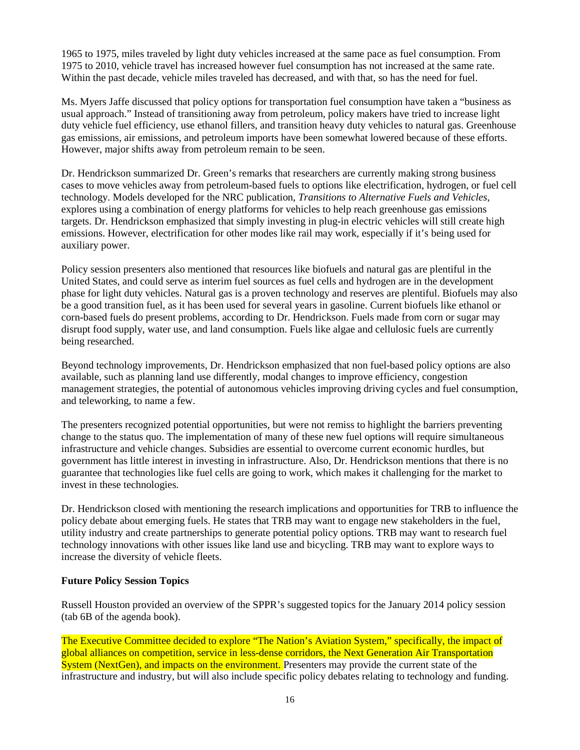1965 to 1975, miles traveled by light duty vehicles increased at the same pace as fuel consumption. From 1975 to 2010, vehicle travel has increased however fuel consumption has not increased at the same rate. Within the past decade, vehicle miles traveled has decreased, and with that, so has the need for fuel.

Ms. Myers Jaffe discussed that policy options for transportation fuel consumption have taken a "business as usual approach." Instead of transitioning away from petroleum, policy makers have tried to increase light duty vehicle fuel efficiency, use ethanol fillers, and transition heavy duty vehicles to natural gas. Greenhouse gas emissions, air emissions, and petroleum imports have been somewhat lowered because of these efforts. However, major shifts away from petroleum remain to be seen.

Dr. Hendrickson summarized Dr. Green's remarks that researchers are currently making strong business cases to move vehicles away from petroleum-based fuels to options like electrification, hydrogen, or fuel cell technology. Models developed for the NRC publication, *Transitions to Alternative Fuels and Vehicles*, explores using a combination of energy platforms for vehicles to help reach greenhouse gas emissions targets. Dr. Hendrickson emphasized that simply investing in plug-in electric vehicles will still create high emissions. However, electrification for other modes like rail may work, especially if it's being used for auxiliary power.

Policy session presenters also mentioned that resources like biofuels and natural gas are plentiful in the United States, and could serve as interim fuel sources as fuel cells and hydrogen are in the development phase for light duty vehicles. Natural gas is a proven technology and reserves are plentiful. Biofuels may also be a good transition fuel, as it has been used for several years in gasoline. Current biofuels like ethanol or corn-based fuels do present problems, according to Dr. Hendrickson. Fuels made from corn or sugar may disrupt food supply, water use, and land consumption. Fuels like algae and cellulosic fuels are currently being researched.

Beyond technology improvements, Dr. Hendrickson emphasized that non fuel-based policy options are also available, such as planning land use differently, modal changes to improve efficiency, congestion management strategies, the potential of autonomous vehicles improving driving cycles and fuel consumption, and teleworking, to name a few.

The presenters recognized potential opportunities, but were not remiss to highlight the barriers preventing change to the status quo. The implementation of many of these new fuel options will require simultaneous infrastructure and vehicle changes. Subsidies are essential to overcome current economic hurdles, but government has little interest in investing in infrastructure. Also, Dr. Hendrickson mentions that there is no guarantee that technologies like fuel cells are going to work, which makes it challenging for the market to invest in these technologies.

Dr. Hendrickson closed with mentioning the research implications and opportunities for TRB to influence the policy debate about emerging fuels. He states that TRB may want to engage new stakeholders in the fuel, utility industry and create partnerships to generate potential policy options. TRB may want to research fuel technology innovations with other issues like land use and bicycling. TRB may want to explore ways to increase the diversity of vehicle fleets.

#### <span id="page-15-0"></span>**Future Policy Session Topics**

Russell Houston provided an overview of the SPPR's suggested topics for the January 2014 policy session (tab 6B of the agenda book).

The Executive Committee decided to explore "The Nation's Aviation System," specifically, the impact of global alliances on competition, service in less-dense corridors, the Next Generation Air Transportation System (NextGen), and impacts on the environment. Presenters may provide the current state of the infrastructure and industry, but will also include specific policy debates relating to technology and funding.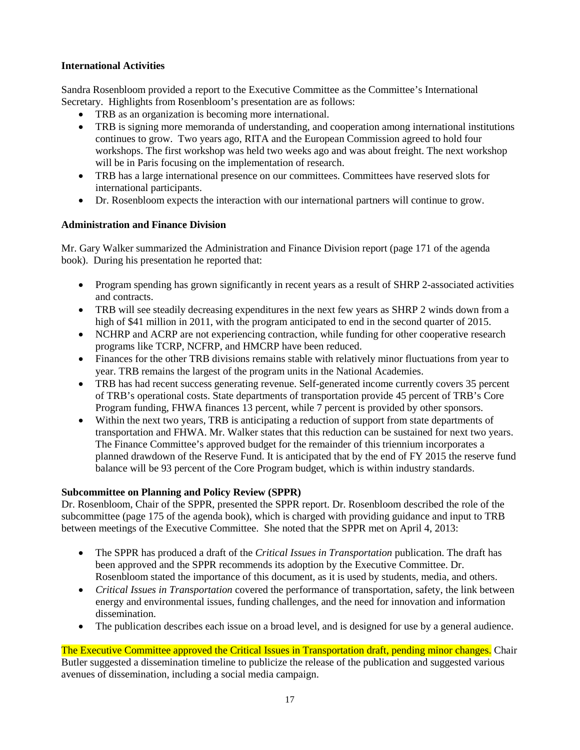#### <span id="page-16-0"></span>**International Activities**

Sandra Rosenbloom provided a report to the Executive Committee as the Committee's International Secretary. Highlights from Rosenbloom's presentation are as follows:

- TRB as an organization is becoming more international.
- TRB is signing more memoranda of understanding, and cooperation among international institutions continues to grow. Two years ago, RITA and the European Commission agreed to hold four workshops. The first workshop was held two weeks ago and was about freight. The next workshop will be in Paris focusing on the implementation of research.
- TRB has a large international presence on our committees. Committees have reserved slots for international participants.
- Dr. Rosenbloom expects the interaction with our international partners will continue to grow.

#### <span id="page-16-1"></span>**Administration and Finance Division**

Mr. Gary Walker summarized the Administration and Finance Division report (page 171 of the agenda book). During his presentation he reported that:

- Program spending has grown significantly in recent years as a result of SHRP 2-associated activities and contracts.
- TRB will see steadily decreasing expenditures in the next few years as SHRP 2 winds down from a high of \$41 million in 2011, with the program anticipated to end in the second quarter of 2015.
- NCHRP and ACRP are not experiencing contraction, while funding for other cooperative research programs like TCRP, NCFRP, and HMCRP have been reduced.
- Finances for the other TRB divisions remains stable with relatively minor fluctuations from year to year. TRB remains the largest of the program units in the National Academies.
- TRB has had recent success generating revenue. Self-generated income currently covers 35 percent of TRB's operational costs. State departments of transportation provide 45 percent of TRB's Core Program funding, FHWA finances 13 percent, while 7 percent is provided by other sponsors.
- Within the next two years, TRB is anticipating a reduction of support from state departments of transportation and FHWA. Mr. Walker states that this reduction can be sustained for next two years. The Finance Committee's approved budget for the remainder of this triennium incorporates a planned drawdown of the Reserve Fund. It is anticipated that by the end of FY 2015 the reserve fund balance will be 93 percent of the Core Program budget, which is within industry standards.

### <span id="page-16-2"></span>**Subcommittee on Planning and Policy Review (SPPR)**

Dr. Rosenbloom, Chair of the SPPR, presented the SPPR report. Dr. Rosenbloom described the role of the subcommittee (page 175 of the agenda book), which is charged with providing guidance and input to TRB between meetings of the Executive Committee. She noted that the SPPR met on April 4, 2013:

- The SPPR has produced a draft of the *Critical Issues in Transportation* publication. The draft has been approved and the SPPR recommends its adoption by the Executive Committee. Dr. Rosenbloom stated the importance of this document, as it is used by students, media, and others.
- *Critical Issues in Transportation* covered the performance of transportation, safety, the link between energy and environmental issues, funding challenges, and the need for innovation and information dissemination.
- The publication describes each issue on a broad level, and is designed for use by a general audience.

The Executive Committee approved the Critical Issues in Transportation draft, pending minor changes. Chair Butler suggested a dissemination timeline to publicize the release of the publication and suggested various avenues of dissemination, including a social media campaign.